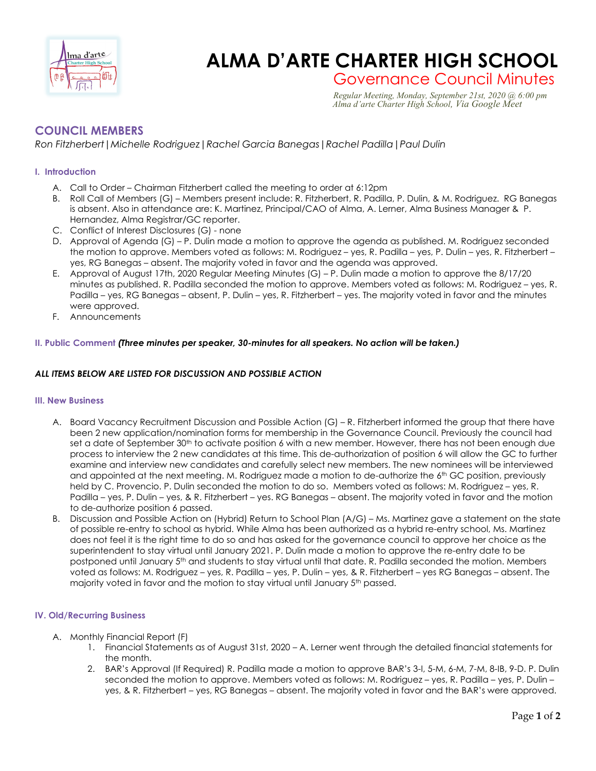

# **ALMA D'ARTE CHARTER HIGH SCHOOL**

Governance Council Minutes *Regular Meeting, Monday, September 21st, 2020 @ 6:00 pm*

 *Alma d'arte Charter High School, Via Google Meet*

# **COUNCIL MEMBERS**

*Ron Fitzherbert|Michelle Rodriguez|Rachel Garcia Banegas|Rachel Padilla|Paul Dulin*

## **I. Introduction**

- A. Call to Order Chairman Fitzherbert called the meeting to order at 6:12pm
- B. Roll Call of Members (G) Members present include: R. Fitzherbert, R. Padilla, P. Dulin, & M. Rodriguez. RG Banegas is absent. Also in attendance are: K. Martinez, Principal/CAO of Alma, A. Lerner, Alma Business Manager & P. Hernandez, Alma Registrar/GC reporter.
- C. Conflict of Interest Disclosures (G) none
- D. Approval of Agenda (G) P. Dulin made a motion to approve the agenda as published. M. Rodriguez seconded the motion to approve. Members voted as follows: M. Rodriguez – yes, R. Padilla – yes, P. Dulin – yes, R. Fitzherbert – yes, RG Banegas – absent. The majority voted in favor and the agenda was approved.
- E. Approval of August 17th, 2020 Regular Meeting Minutes (G) P. Dulin made a motion to approve the 8/17/20 minutes as published. R. Padilla seconded the motion to approve. Members voted as follows: M. Rodriguez – yes, R. Padilla – yes, RG Banegas – absent, P. Dulin – yes, R. Fitzherbert – yes. The majority voted in favor and the minutes were approved.
- F. Announcements

### **II. Public Comment** *(Three minutes per speaker, 30-minutes for all speakers. No action will be taken.)*

#### *ALL ITEMS BELOW ARE LISTED FOR DISCUSSION AND POSSIBLE ACTION*

#### **III. New Business**

- A. Board Vacancy Recruitment Discussion and Possible Action (G) R. Fitzherbert informed the group that there have been 2 new application/nomination forms for membership in the Governance Council. Previously the council had set a date of September 30<sup>th</sup> to activate position 6 with a new member. However, there has not been enough due process to interview the 2 new candidates at this time. This de-authorization of position 6 will allow the GC to further examine and interview new candidates and carefully select new members. The new nominees will be interviewed and appointed at the next meeting. M. Rodriguez made a motion to de-authorize the 6<sup>th</sup> GC position, previously held by C. Provencio. P. Dulin seconded the motion to do so. Members voted as follows: M. Rodriguez – yes, R. Padilla – yes, P. Dulin – yes, & R. Fitzherbert – yes. RG Banegas – absent. The majority voted in favor and the motion to de-authorize position 6 passed.
- B. Discussion and Possible Action on (Hybrid) Return to School Plan (A/G) Ms. Martinez gave a statement on the state of possible re-entry to school as hybrid. While Alma has been authorized as a hybrid re-entry school, Ms. Martinez does not feel it is the right time to do so and has asked for the governance council to approve her choice as the superintendent to stay virtual until January 2021. P. Dulin made a motion to approve the re-entry date to be postponed until January 5<sup>th</sup> and students to stay virtual until that date. R. Padilla seconded the motion. Members voted as follows: M. Rodriguez – yes, R. Padilla – yes, P. Dulin – yes, & R. Fitzherbert – yes RG Banegas – absent. The majority voted in favor and the motion to stay virtual until January 5th passed.

#### **IV. Old/Recurring Business**

- A. Monthly Financial Report (F)
	- 1. Financial Statements as of August 31st, 2020 A. Lerner went through the detailed financial statements for the month.
	- 2. BAR's Approval (If Required) R. Padilla made a motion to approve BAR's 3-I, 5-M, 6-M, 7-M, 8-IB, 9-D. P. Dulin seconded the motion to approve. Members voted as follows: M. Rodriguez – yes, R. Padilla – yes, P. Dulin – yes, & R. Fitzherbert – yes, RG Banegas – absent. The majority voted in favor and the BAR's were approved.